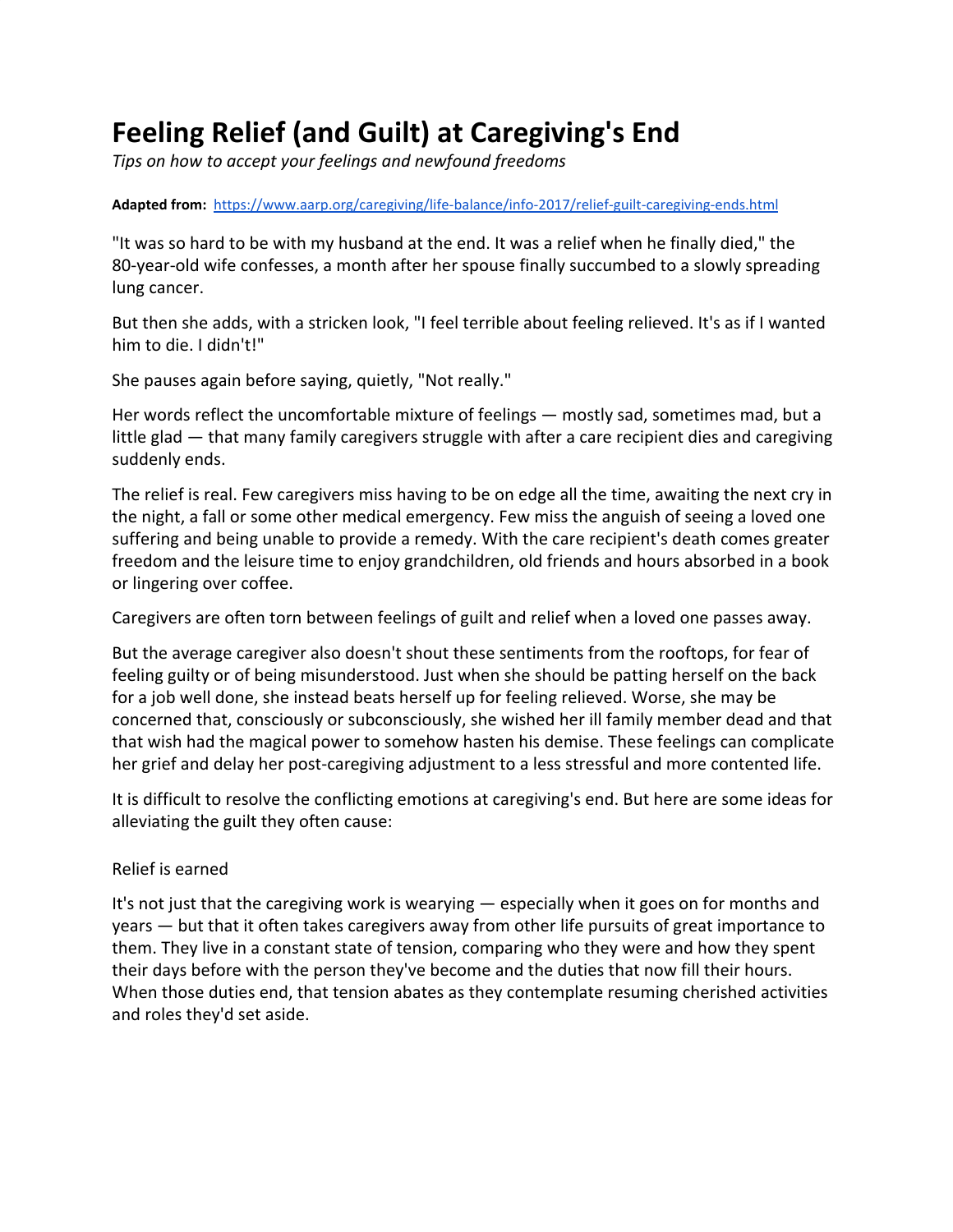# **Feeling Relief (and Guilt) at Caregiving's End**

*Tips on how to accept your feelings and newfound freedoms*

#### **Adapted from:** <https://www.aarp.org/caregiving/life-balance/info-2017/relief-guilt-caregiving-ends.html>

"It was so hard to be with my husband at the end. It was a relief when he finally died," the 80-year-old wife confesses, a month after her spouse finally succumbed to a slowly spreading lung cancer.

But then she adds, with a stricken look, "I feel terrible about feeling relieved. It's as if I wanted him to die. I didn't!"

She pauses again before saying, quietly, "Not really."

Her words reflect the [uncomfortable mixture of feelings](https://www.aarp.org/caregiving/basics/info-2017/truth-about-grief.html) — mostly sad, sometimes mad, but a little glad — that many family caregivers struggle with after a care recipient dies and caregiving suddenly ends.

The relief is real. Few caregivers miss having to be on edge all the time, awaiting the next cry in the night, a fall or some other medical emergency. Few miss the anguish of seeing a loved one suffering and being unable to provide a remedy. With the care recipient's death comes greater freedom and the leisure time to enjoy grandchildren, old friends and hours absorbed in a book or lingering over coffee.

Caregivers are often torn between feelings of guilt and relief when a loved one passes away.

But the average caregiver also doesn't shout these sentiments from the rooftops, for fear of feeling guilty or of being misunderstood. Just when she should be patting herself on the back for a job well done, she instead beats herself up for feeling relieved. Worse, she may be concerned that, consciously or subconsciously, she wished her ill family member dead and that that wish had the magical power to somehow hasten his demise. These feelings can complicate her grief and delay her post-caregiving adjustment to a less stressful and more contented life.

It is difficult to resolve the conflicting emotions at caregiving's end. But here are some ideas for alleviating the guilt they often cause:

## Relief is earned

It's not just that the caregiving work is wearying — especially when it goes on for months and years — but that it often takes caregivers away from other life pursuits of great importance to them. [They live in a constant state of tension](https://www.aarp.org/caregiving/life-balance/info-2017/angry-stressed-yelling-bjj.html), comparing who they were and how they spent their days before with the person they've become and the duties that now fill their hours. When those duties end, that tension abates as they contemplate resuming cherished activities and roles they'd set aside.